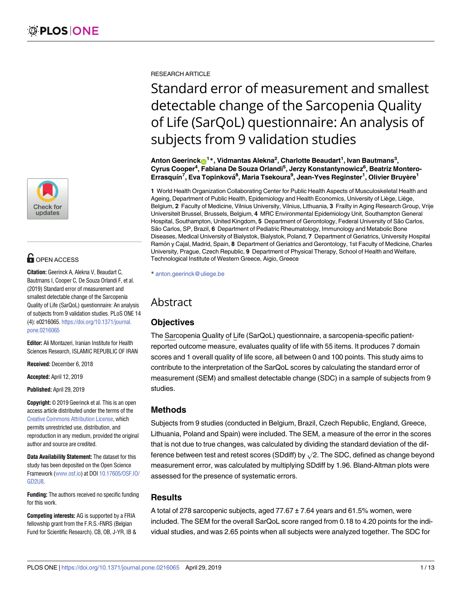

## **O** OPEN ACCESS

**Citation:** Geerinck A, Alekna V, Beaudart C, Bautmans I, Cooper C, De Souza Orlandi F, et al. (2019) Standard error of measurement and smallest detectable change of the Sarcopenia Quality of Life (SarQoL) questionnaire: An analysis of subjects from 9 validation studies. PLoS ONE 14 (4): e0216065. [https://doi.org/10.1371/journal.](https://doi.org/10.1371/journal.pone.0216065) [pone.0216065](https://doi.org/10.1371/journal.pone.0216065)

**Editor:** Ali Montazeri, Iranian Institute for Health Sciences Research, ISLAMIC REPUBLIC OF IRAN

**Received:** December 6, 2018

**Accepted:** April 12, 2019

**Published:** April 29, 2019

**Copyright:** © 2019 Geerinck et al. This is an open access article distributed under the terms of the Creative Commons [Attribution](http://creativecommons.org/licenses/by/4.0/) License, which permits unrestricted use, distribution, and reproduction in any medium, provided the original author and source are credited.

**Data Availability Statement:** The dataset for this study has been deposited on the Open Science Framework ([www.osf.io](http://www.osf.io)) at DOI [10.17605/OSF.IO/](https://doi.org/10.17605/OSF.IO/GD2U8) [GD2U8.](https://doi.org/10.17605/OSF.IO/GD2U8)

**Funding:** The authors received no specific funding for this work.

**Competing interests:** AG is supported by a FRIA fellowship grant from the F.R.S.-FNRS (Belgian Fund for Scientific Research). CB, OB, J-YR, IB & RESEARCH ARTICLE

# Standard error of measurement and smallest detectable change of the Sarcopenia Quality of Life (SarQoL) questionnaire: An analysis of subjects from 9 validation studies

 $\mathbf{A}$ nton Geerinck $\mathbf{C}^{1*}$ , Vidmantas Alekna<sup>2</sup>, Charlotte Beaudart<sup>1</sup>, Ivan Bautmans<sup>3</sup>, **Cyrus Cooper4 , Fabiana De Souza Orlandi5 , Jerzy Konstantynowicz6 , Beatriz Montero-** $\mathsf{Errasquin}^\mathsf{T}$ , Eva Topinková $^8$ , Maria Tsekoura $^9$ , Jean-Yves Reginster<sup>1</sup>, Olivier Bruyère<sup>1</sup>

**1** World Health Organization Collaborating Center for Public Health Aspects of Musculoskeletal Health and Ageing, Department of Public Health, Epidemiology and Health Economics, University of Liège, Liège, Belgium, **2** Faculty of Medicine, Vilnius University, Vilnius, Lithuania, **3** Frailty in Aging Research Group, Vrije Universiteit Brussel, Brussels, Belgium, **4** MRC Environmental Epidemiology Unit, Southampton General Hospital, Southampton, United Kingdom, **5** Department of Gerontology, Federal University of São Carlos, São Carlos, SP, Brazil, **6** Department of Pediatric Rheumatology, Immunology and Metabolic Bone Diseases, Medical University of Bialystok, Bialystok, Poland, **7** Department of Geriatrics, University Hospital Ramo´n y Cajal, Madrid, Spain, **8** Department of Geriatrics and Gerontology, 1st Faculty of Medicine, Charles University, Prague, Czech Republic, **9** Department of Physical Therapy, School of Health and Welfare, Technological Institute of Western Greece, Aigio, Greece

\* anton.geerinck@uliege.be

## Abstract

## **Objectives**

The Sarcopenia Quality of Life (SarQoL) questionnaire, a sarcopenia-specific patientreported outcome measure, evaluates quality of life with 55 items. It produces 7 domain scores and 1 overall quality of life score, all between 0 and 100 points. This study aims to contribute to the interpretation of the SarQoL scores by calculating the standard error of measurement (SEM) and smallest detectable change (SDC) in a sample of subjects from 9 studies.

## **Methods**

Subjects from 9 studies (conducted in Belgium, Brazil, Czech Republic, England, Greece, Lithuania, Poland and Spain) were included. The SEM, a measure of the error in the scores that is not due to true changes, was calculated by dividing the standard deviation of the difference between test and retest scores (SDdiff) by  $\sqrt{2}$ . The SDC, defined as change beyond measurement error, was calculated by multiplying SDdiff by 1.96. Bland-Altman plots were assessed for the presence of systematic errors.

## **Results**

A total of 278 sarcopenic subjects, aged 77.67 ± 7.64 years and 61.5% women, were included. The SEM for the overall SarQoL score ranged from 0.18 to 4.20 points for the individual studies, and was 2.65 points when all subjects were analyzed together. The SDC for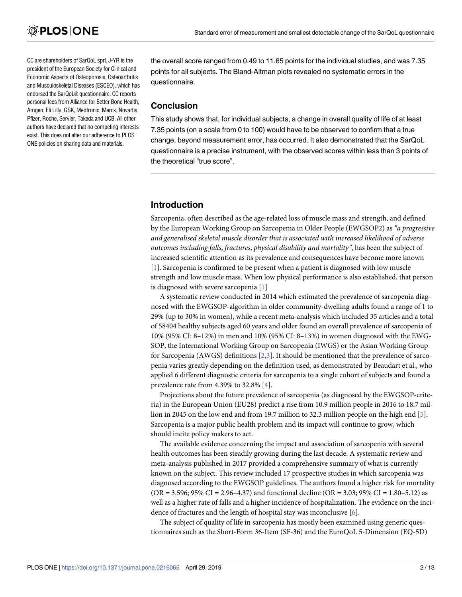<span id="page-1-0"></span>CC are shareholders of SarQoL sprl. J-YR is the president of the European Society for Clinical and Economic Aspects of Osteoporosis, Osteoarthritis and Musculoskeletal Diseases (ESCEO), which has endorsed the SarQoL® questionnaire. CC reports personal fees from Alliance for Better Bone Health, Amgen, Eli Lilly, GSK, Medtronic, Merck, Novartis, Pfizer, Roche, Servier, Takeda and UCB. All other authors have declared that no competing interests exist. This does not alter our adherence to PLOS ONE policies on sharing data and materials.

the overall score ranged from 0.49 to 11.65 points for the individual studies, and was 7.35 points for all subjects. The Bland-Altman plots revealed no systematic errors in the questionnaire.

## **Conclusion**

This study shows that, for individual subjects, a change in overall quality of life of at least 7.35 points (on a scale from 0 to 100) would have to be observed to confirm that a true change, beyond measurement error, has occurred. It also demonstrated that the SarQoL questionnaire is a precise instrument, with the observed scores within less than 3 points of the theoretical "true score".

## **Introduction**

Sarcopenia, often described as the age-related loss of muscle mass and strength, and defined by the European Working Group on Sarcopenia in Older People (EWGSOP2) as *"a progressive and generalised skeletal muscle disorder that is associated with increased likelihood of adverse outcomes including falls*, *fractures*, *physical disability and mortality"*, has been the subject of increased scientific attention as its prevalence and consequences have become more known [\[1](#page-10-0)]. Sarcopenia is confirmed to be present when a patient is diagnosed with low muscle strength and low muscle mass. When low physical performance is also established, that person is diagnosed with severe sarcopenia [[1](#page-10-0)]

A systematic review conducted in 2014 which estimated the prevalence of sarcopenia diagnosed with the EWGSOP-algorithm in older community-dwelling adults found a range of 1 to 29% (up to 30% in women), while a recent meta-analysis which included 35 articles and a total of 58404 healthy subjects aged 60 years and older found an overall prevalence of sarcopenia of 10% (95% CI: 8–12%) in men and 10% (95% CI: 8–13%) in women diagnosed with the EWG-SOP, the International Working Group on Sarcopenia (IWGS) or the Asian Working Group for Sarcopenia (AWGS) definitions [\[2,](#page-10-0)[3\]](#page-11-0). It should be mentioned that the prevalence of sarcopenia varies greatly depending on the definition used, as demonstrated by Beaudart et al., who applied 6 different diagnostic criteria for sarcopenia to a single cohort of subjects and found a prevalence rate from 4.39% to 32.8% [[4](#page-11-0)].

Projections about the future prevalence of sarcopenia (as diagnosed by the EWGSOP-criteria) in the European Union (EU28) predict a rise from 10.9 million people in 2016 to 18.7 million in 2045 on the low end and from 19.7 million to 32.3 million people on the high end [[5\]](#page-11-0). Sarcopenia is a major public health problem and its impact will continue to grow, which should incite policy makers to act.

The available evidence concerning the impact and association of sarcopenia with several health outcomes has been steadily growing during the last decade. A systematic review and meta-analysis published in 2017 provided a comprehensive summary of what is currently known on the subject. This review included 17 prospective studies in which sarcopenia was diagnosed according to the EWGSOP guidelines. The authors found a higher risk for mortality  $(OR = 3.596; 95\% CI = 2.96 - 4.37)$  and functional decline  $(OR = 3.03; 95\% CI = 1.80 - 5.12)$  as well as a higher rate of falls and a higher incidence of hospitalization. The evidence on the incidence of fractures and the length of hospital stay was inconclusive [\[6](#page-11-0)].

The subject of quality of life in sarcopenia has mostly been examined using generic questionnaires such as the Short-Form 36-Item (SF-36) and the EuroQoL 5-Dimension (EQ-5D)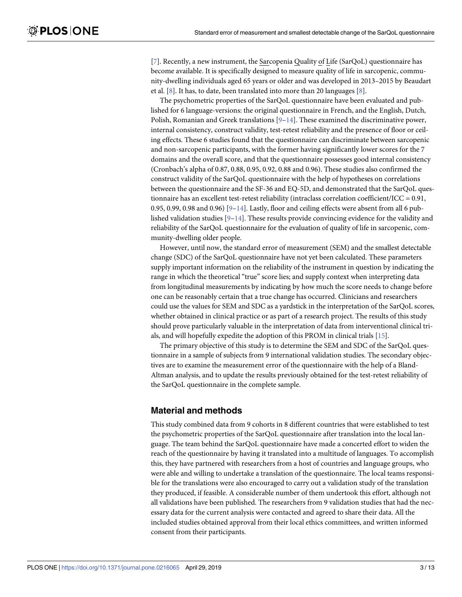<span id="page-2-0"></span>[\[7](#page-11-0)]. Recently, a new instrument, the Sarcopenia Quality of Life (SarQoL) questionnaire has become available. It is specifically designed to measure quality of life in sarcopenic, community-dwelling individuals aged 65 years or older and was developed in 2013–2015 by Beaudart et al. [\[8\]](#page-11-0). It has, to date, been translated into more than 20 languages [[8\]](#page-11-0).

The psychometric properties of the SarQoL questionnaire have been evaluated and published for 6 language-versions: the original questionnaire in French, and the English, Dutch, Polish, Romanian and Greek translations  $[9-14]$ . These examined the discriminative power, internal consistency, construct validity, test-retest reliability and the presence of floor or ceiling effects. These 6 studies found that the questionnaire can discriminate between sarcopenic and non-sarcopenic participants, with the former having significantly lower scores for the 7 domains and the overall score, and that the questionnaire possesses good internal consistency (Cronbach's alpha of 0.87, 0.88, 0.95, 0.92, 0.88 and 0.96). These studies also confirmed the construct validity of the SarQoL questionnaire with the help of hypotheses on correlations between the questionnaire and the SF-36 and EQ-5D, and demonstrated that the SarQoL questionnaire has an excellent test-retest reliability (intraclass correlation coefficient/ICC = 0.91, 0.95, 0.99, 0.98 and 0.96)  $[9-14]$ . Lastly, floor and ceiling effects were absent from all 6 published validation studies  $[9-14]$ . These results provide convincing evidence for the validity and reliability of the SarQoL questionnaire for the evaluation of quality of life in sarcopenic, community-dwelling older people.

However, until now, the standard error of measurement (SEM) and the smallest detectable change (SDC) of the SarQoL questionnaire have not yet been calculated. These parameters supply important information on the reliability of the instrument in question by indicating the range in which the theoretical "true" score lies; and supply context when interpreting data from longitudinal measurements by indicating by how much the score needs to change before one can be reasonably certain that a true change has occurred. Clinicians and researchers could use the values for SEM and SDC as a yardstick in the interpretation of the SarQoL scores, whether obtained in clinical practice or as part of a research project. The results of this study should prove particularly valuable in the interpretation of data from interventional clinical trials, and will hopefully expedite the adoption of this PROM in clinical trials [[15](#page-11-0)].

The primary objective of this study is to determine the SEM and SDC of the SarQoL questionnaire in a sample of subjects from 9 international validation studies. The secondary objectives are to examine the measurement error of the questionnaire with the help of a Bland-Altman analysis, and to update the results previously obtained for the test-retest reliability of the SarQoL questionnaire in the complete sample.

## **Material and methods**

This study combined data from 9 cohorts in 8 different countries that were established to test the psychometric properties of the SarQoL questionnaire after translation into the local language. The team behind the SarQoL questionnaire have made a concerted effort to widen the reach of the questionnaire by having it translated into a multitude of languages. To accomplish this, they have partnered with researchers from a host of countries and language groups, who were able and willing to undertake a translation of the questionnaire. The local teams responsible for the translations were also encouraged to carry out a validation study of the translation they produced, if feasible. A considerable number of them undertook this effort, although not all validations have been published. The researchers from 9 validation studies that had the necessary data for the current analysis were contacted and agreed to share their data. All the included studies obtained approval from their local ethics committees, and written informed consent from their participants.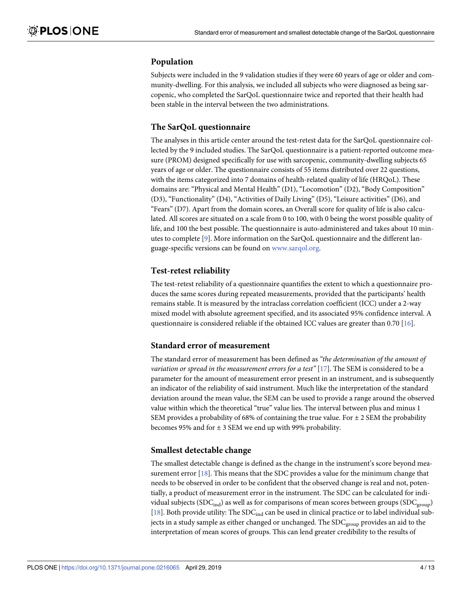## <span id="page-3-0"></span>**Population**

Subjects were included in the 9 validation studies if they were 60 years of age or older and community-dwelling. For this analysis, we included all subjects who were diagnosed as being sarcopenic, who completed the SarQoL questionnaire twice and reported that their health had been stable in the interval between the two administrations.

## **The SarQoL questionnaire**

The analyses in this article center around the test-retest data for the SarQoL questionnaire collected by the 9 included studies. The SarQoL questionnaire is a patient-reported outcome measure (PROM) designed specifically for use with sarcopenic, community-dwelling subjects 65 years of age or older. The questionnaire consists of 55 items distributed over 22 questions, with the items categorized into 7 domains of health-related quality of life (HRQoL). These domains are: "Physical and Mental Health" (D1), "Locomotion" (D2), "Body Composition" (D3), "Functionality" (D4), "Activities of Daily Living" (D5), "Leisure activities" (D6), and "Fears" (D7). Apart from the domain scores, an Overall score for quality of life is also calculated. All scores are situated on a scale from 0 to 100, with 0 being the worst possible quality of life, and 100 the best possible. The questionnaire is auto-administered and takes about 10 minutes to complete [[9\]](#page-11-0). More information on the SarQoL questionnaire and the different language-specific versions can be found on [www.sarqol.org](http://www.sarqol.org/).

## **Test-retest reliability**

The test-retest reliability of a questionnaire quantifies the extent to which a questionnaire produces the same scores during repeated measurements, provided that the participants' health remains stable. It is measured by the intraclass correlation coefficient (ICC) under a 2-way mixed model with absolute agreement specified, and its associated 95% confidence interval. A questionnaire is considered reliable if the obtained ICC values are greater than 0.70 [\[16\]](#page-11-0).

## **Standard error of measurement**

The standard error of measurement has been defined as *"the determination of the amount of variation or spread in the measurement errors for a test"* [\[17\]](#page-11-0). The SEM is considered to be a parameter for the amount of measurement error present in an instrument, and is subsequently an indicator of the reliability of said instrument. Much like the interpretation of the standard deviation around the mean value, the SEM can be used to provide a range around the observed value within which the theoretical "true" value lies. The interval between plus and minus 1 SEM provides a probability of 68% of containing the true value. For  $\pm$  2 SEM the probability becomes 95% and for  $\pm$  3 SEM we end up with 99% probability.

#### **Smallest detectable change**

The smallest detectable change is defined as the change in the instrument's score beyond measurement error [\[18](#page-11-0)]. This means that the SDC provides a value for the minimum change that needs to be observed in order to be confident that the observed change is real and not, potentially, a product of measurement error in the instrument. The SDC can be calculated for individual subjects (SDC<sub>ind</sub>) as well as for comparisons of mean scores between groups (SDC<sub>group</sub>) [\[18\]](#page-11-0). Both provide utility: The  $SDC_{ind}$  can be used in clinical practice or to label individual subjects in a study sample as either changed or unchanged. The SDC<sub>group</sub> provides an aid to the interpretation of mean scores of groups. This can lend greater credibility to the results of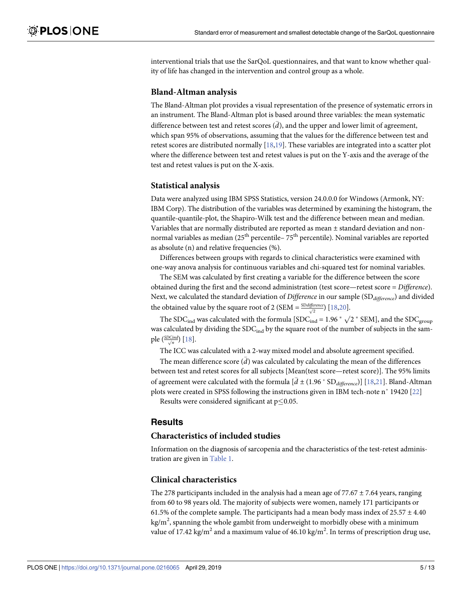<span id="page-4-0"></span>interventional trials that use the SarQoL questionnaires, and that want to know whether quality of life has changed in the intervention and control group as a whole.

#### **Bland-Altman analysis**

The Bland-Altman plot provides a visual representation of the presence of systematic errors in an instrument. The Bland-Altman plot is based around three variables: the mean systematic difference between test and retest scores  $(\bar{d})$ , and the upper and lower limit of agreement, which span 95% of observations, assuming that the values for the difference between test and retest scores are distributed normally [[18](#page-11-0),[19](#page-11-0)]. These variables are integrated into a scatter plot where the difference between test and retest values is put on the Y-axis and the average of the test and retest values is put on the X-axis.

#### **Statistical analysis**

Data were analyzed using IBM SPSS Statistics, version 24.0.0.0 for Windows (Armonk, NY: IBM Corp). The distribution of the variables was determined by examining the histogram, the quantile-quantile-plot, the Shapiro-Wilk test and the difference between mean and median. Variables that are normally distributed are reported as mean ± standard deviation and nonnormal variables as median (25<sup>th</sup> percentile– 75<sup>th</sup> percentile). Nominal variables are reported as absolute (n) and relative frequencies (%).

Differences between groups with regards to clinical characteristics were examined with one-way anova analysis for continuous variables and chi-squared test for nominal variables.

The SEM was calculated by first creating a variable for the difference between the score obtained during the first and the second administration (test score—retest score = *Difference*). Next, we calculated the standard deviation of *Difference* in our sample (SD*difference*) and divided the obtained value by the square root of 2 (SEM =  $\frac{\text{S}\text{D}\text{difference}}{\sqrt{2}}$ ) [[18](#page-11-0),[20](#page-11-0)].

The SDC<sub>ind</sub> was calculated with the formula [SDC<sub>ind</sub> = 1.96  $\degree$   $\sqrt{2}$   $\degree$  SEM], and the SDC<sub>group</sub> was calculated by dividing the SDC<sub>ind</sub> by the square root of the number of subjects in the sample ( $\frac{SDCind}{\sqrt{n}}$ ) [<u>18</u>].

The ICC was calculated with a 2-way mixed model and absolute agreement specified.

The mean difference score  $(\bar{d})$  was calculated by calculating the mean of the differences between test and retest scores for all subjects [Mean(test score—retest score)]. The 95% limits of agreement were calculated with the formula  $[\bar{d} \pm (1.96$   $^*$  SD $_{difference})$ ] [\[18,21\]](#page-11-0). Bland-Altman plots were created in SPSS following the instructions given in IBM tech-note n˚ 19420 [[22](#page-11-0)]

Results were considered significant at  $p \leq 0.05$ .

#### **Results**

### **Characteristics of included studies**

Information on the diagnosis of sarcopenia and the characteristics of the test-retest administration are given in [Table](#page-5-0) 1.

#### **Clinical characteristics**

The 278 participants included in the analysis had a mean age of 77.67  $\pm$  7.64 years, ranging from 60 to 98 years old. The majority of subjects were women, namely 171 participants or 61.5% of the complete sample. The participants had a mean body mass index of  $25.57 \pm 4.40$ kg/m $^2$ , spanning the whole gambit from underweight to morbidly obese with a minimum value of 17.42 kg/m<sup>2</sup> and a maximum value of 46.10 kg/m<sup>2</sup>. In terms of prescription drug use,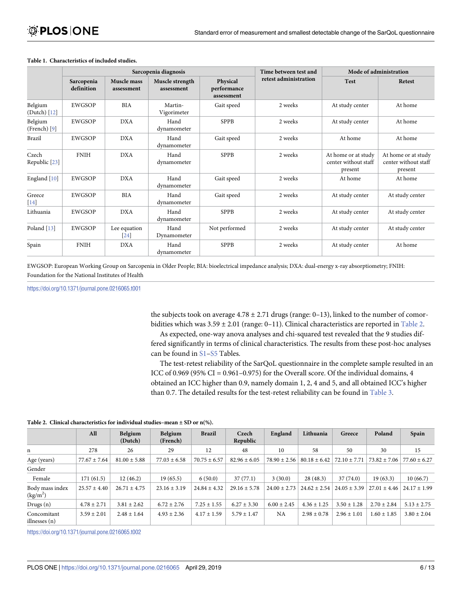|                           |                                                       |                        | Sarcopenia diagnosis                                                   |               | Time between test and | Mode of administration                                 |                                                        |  |
|---------------------------|-------------------------------------------------------|------------------------|------------------------------------------------------------------------|---------------|-----------------------|--------------------------------------------------------|--------------------------------------------------------|--|
|                           | Muscle mass<br>Sarcopenia<br>definition<br>assessment |                        | Physical<br>Muscle strength<br>performance<br>assessment<br>assessment |               | retest administration | <b>Test</b>                                            | Retest                                                 |  |
| Belgium<br>$(Dutch)$ [12] | EWGSOP                                                | <b>BIA</b>             | Martin-<br>Vigorimeter                                                 | Gait speed    | 2 weeks               | At study center                                        | At home                                                |  |
| Belgium<br>(French) [9]   | EWGSOP                                                | <b>DXA</b>             | Hand<br>dynamometer                                                    | <b>SPPB</b>   | 2 weeks               | At study center                                        | At home                                                |  |
| <b>Brazil</b>             | EWGSOP                                                | <b>DXA</b>             | Hand<br>dynamometer                                                    | Gait speed    | 2 weeks               | At home                                                | At home                                                |  |
| Czech<br>Republic [23]    | <b>FNIH</b>                                           | <b>DXA</b>             | Hand<br>dynamometer                                                    | <b>SPPB</b>   | 2 weeks               | At home or at study<br>center without staff<br>present | At home or at study<br>center without staff<br>present |  |
| England [10]              | <b>EWGSOP</b>                                         | <b>DXA</b>             | Hand<br>dynamometer                                                    | Gait speed    | 2 weeks               | At home                                                | At home                                                |  |
| Greece<br>$[14]$          | EWGSOP                                                | <b>BIA</b>             | Hand<br>dynamometer                                                    | Gait speed    | 2 weeks               | At study center                                        | At study center                                        |  |
| Lithuania                 | EWGSOP                                                | <b>DXA</b>             | Hand<br>dynamometer                                                    | <b>SPPB</b>   | 2 weeks               | At study center                                        | At study center                                        |  |
| Poland [13]               | EWGSOP                                                | Lee equation<br>$[24]$ | Hand<br>Dynamometer                                                    | Not performed | 2 weeks               | At study center                                        | At study center                                        |  |
| Spain                     | <b>FNIH</b>                                           | <b>DXA</b>             | Hand<br>dynamometer                                                    | <b>SPPB</b>   | 2 weeks               | At study center                                        | At home                                                |  |

#### <span id="page-5-0"></span>**[Table](#page-4-0) 1. Characteristics of included studies.**

EWGSOP: European Working Group on Sarcopenia in Older People; BIA: bioelectrical impedance analysis; DXA: dual-energy x-ray absorptiometry; FNIH: Foundation for the National Institutes of Health

<https://doi.org/10.1371/journal.pone.0216065.t001>

the subjects took on average  $4.78 \pm 2.71$  drugs (range: 0–13), linked to the number of comorbidities which was  $3.59 \pm 2.01$  (range: 0–11). Clinical characteristics are reported in Table 2.

As expected, one-way anova analyses and chi-squared test revealed that the 9 studies differed significantly in terms of clinical characteristics. The results from these post-hoc analyses can be found in [S1–S5](#page-10-0) Tables.

The test-retest reliability of the SarQoL questionnaire in the complete sample resulted in an ICC of 0.969 (95% CI =  $0.961-0.975$ ) for the Overall score. Of the individual domains, 4 obtained an ICC higher than 0.9, namely domain 1, 2, 4 and 5, and all obtained ICC's higher than 0.7. The detailed results for the test-retest reliability can be found in [Table](#page-6-0) 3.

|  | Table 2. Clinical characteristics for individual studies-mean $\pm$ SD or n(%). |  |  |  |
|--|---------------------------------------------------------------------------------|--|--|--|
|--|---------------------------------------------------------------------------------|--|--|--|

|                                | All              | <b>Belgium</b><br>(Dutch) | <b>Belgium</b><br>(French) | <b>Brazil</b>    | Czech<br>Republic | England          | Lithuania        | Greece           | Poland           | Spain            |
|--------------------------------|------------------|---------------------------|----------------------------|------------------|-------------------|------------------|------------------|------------------|------------------|------------------|
| n                              | 278              | 26                        | 29                         | 12               | 48                | 10               | 58               | 50               | 30               | 15               |
| Age (years)                    | $77.67 \pm 7.64$ | $81.00 \pm 5.88$          | $77.03 \pm 6.58$           | $70.75 \pm 6.57$ | $82.96 \pm 6.05$  | $78.90 \pm 2.56$ | $80.18 \pm 6.42$ | $72.10 \pm 7.71$ | $73.82 \pm 7.06$ | $77.60 \pm 6.27$ |
| Gender                         |                  |                           |                            |                  |                   |                  |                  |                  |                  |                  |
| Female                         | 171(61.5)        | 12(46.2)                  | 19(65.5)                   | 6(50.0)          | 37(77.1)          | 3(30.0)          | 28(48.3)         | 37(74.0)         | 19(63.3)         | 10(66.7)         |
| Body mass index<br>$(kg/m^2)$  | $25.57 \pm 4.40$ | $26.71 \pm 4.75$          | $23.16 \pm 3.19$           | $24.84 \pm 4.32$ | $29.16 \pm 5.78$  | $24.00 \pm 2.73$ | $24.62 + 2.54$   | $24.05 + 3.39$   | $27.01 \pm 4.46$ | $24.17 \pm 1.99$ |
| Drugs(n)                       | $4.78 \pm 2.71$  | $3.81 \pm 2.62$           | $6.72 \pm 2.76$            | $7.25 \pm 1.55$  | $6.27 \pm 3.30$   | $6.00 \pm 2.45$  | $4.36 \pm 1.25$  | $3.50 \pm 1.28$  | $2.70 \pm 2.84$  | $5.13 \pm 2.75$  |
| Concomitant<br>illnesses $(n)$ | $3.59 \pm 2.01$  | $2.48 \pm 1.64$           | $4.93 \pm 2.36$            | $4.17 \pm 1.59$  | $5.79 \pm 1.47$   | <b>NA</b>        | $2.98 \pm 0.78$  | $2.96 \pm 1.01$  | $1.60 \pm 1.85$  | $3.80 \pm 2.04$  |

<https://doi.org/10.1371/journal.pone.0216065.t002>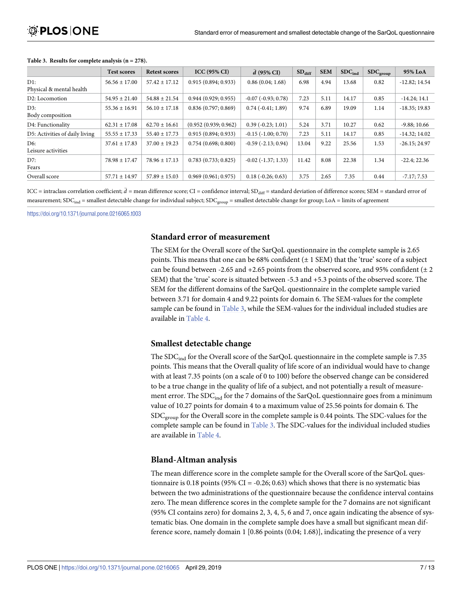|                                | <b>Test scores</b> | <b>Retest scores</b> | ICC(95% CI)           | $d(95\% \text{ CI})$      | $SD_{diff}$ | <b>SEM</b> | SDC <sub>ind</sub> | $SDC_{group}$ | 95% LoA         |
|--------------------------------|--------------------|----------------------|-----------------------|---------------------------|-------------|------------|--------------------|---------------|-----------------|
| D1:                            | $56.56 \pm 17.00$  | $57.42 \pm 17.12$    | 0.915(0.894; 0.933)   | 0.86(0.04; 1.68)          | 6.98        | 4.94       | 13.68              | 0.82          | $-12.82; 14.54$ |
| Physical & mental health       |                    |                      |                       |                           |             |            |                    |               |                 |
| D2: Locomotion                 | $54.95 \pm 21.40$  | $54.88 \pm 21.54$    | 0.944(0.929; 0.955)   | $-0.07$ $(-0.93; 0.78)$   | 7.23        | 5.11       | 14.17              | 0.85          | $-14.24; 14.1$  |
| D3:                            | $55.36 \pm 16.91$  | $56.10 \pm 17.18$    | 0.836(0.797; 0.869)   | $0.74(-0.41; 1.89)$       | 9.74        | 6.89       | 19.09              | 1.14          | $-18.35:19.83$  |
| Body composition               |                    |                      |                       |                           |             |            |                    |               |                 |
| D4: Functionality              | $62.31 \pm 17.08$  | $62.70 \pm 16.61$    | (0.952(0.939; 0.962)) | $0.39(-0.23; 1.01)$       | 5.24        | 3.71       | 10.27              | 0.62          | $-9.88; 10.66$  |
| D5: Activities of daily living | $55.55 \pm 17.33$  | $55.40 \pm 17.73$    | 0.915(0.894; 0.933)   | $-0.15$ $(-1.00; 0.70)$   | 7.23        | 5.11       | 14.17              | 0.85          | $-14.32; 14.02$ |
| D6:                            | $37.61 \pm 17.83$  | $37.00 \pm 19.23$    | 0.754(0.698; 0.800)   | $-0.59$ $(-2.13; 0.94)$   | 13.04       | 9.22       | 25.56              | 1.53          | $-26.15; 24.97$ |
| Leisure activities             |                    |                      |                       |                           |             |            |                    |               |                 |
| D7:                            | $78.98 \pm 17.47$  | $78.96 \pm 17.13$    | 0.783(0.733; 0.825)   | $-0.02$ ( $-1.37; 1.33$ ) | 11.42       | 8.08       | 22.38              | 1.34          | $-22.4; 22.36$  |
| Fears                          |                    |                      |                       |                           |             |            |                    |               |                 |
| Overall score                  | $57.71 \pm 14.97$  | $57.89 \pm 15.03$    | 0.969(0.961; 0.975)   | $0.18(-0.26; 0.63)$       | 3.75        | 2.65       | 7.35               | 0.44          | $-7.17; 7.53$   |

#### <span id="page-6-0"></span>**[Table](#page-5-0) 3. Results for complete analysis (n = 278).**

 $\rm{ICC}=$  intraclass correlation coefficient;  $\bar{d}$  = mean difference score; CI = confidence interval; SD<sub>diff</sub> = standard deviation of difference scores; SEM = standard error of measurement; SDC<sub>ind</sub> = smallest detectable change for individual subject; SDC<sub>group</sub> = smallest detectable change for group; LoA = limits of agreement

<https://doi.org/10.1371/journal.pone.0216065.t003>

#### **Standard error of measurement**

The SEM for the Overall score of the SarQoL questionnaire in the complete sample is 2.65 points. This means that one can be 68% confident  $(\pm 1$  SEM) that the 'true' score of a subject can be found between -2.65 and +2.65 points from the observed score, and 95% confident ( $\pm 2$ SEM) that the 'true' score is situated between -5.3 and +5.3 points of the observed score. The SEM for the different domains of the SarQoL questionnaire in the complete sample varied between 3.71 for domain 4 and 9.22 points for domain 6. The SEM-values for the complete sample can be found in Table 3, while the SEM-values for the individual included studies are available in [Table](#page-7-0) 4.

## **Smallest detectable change**

The SDC<sub>ind</sub> for the Overall score of the SarQoL questionnaire in the complete sample is 7.35 points. This means that the Overall quality of life score of an individual would have to change with at least 7.35 points (on a scale of 0 to 100) before the observed change can be considered to be a true change in the quality of life of a subject, and not potentially a result of measurement error. The  $SDC<sub>ind</sub>$  for the 7 domains of the SarQoL questionnaire goes from a minimum value of 10.27 points for domain 4 to a maximum value of 25.56 points for domain 6. The SDCgroup for the Overall score in the complete sample is 0.44 points. The SDC-values for the complete sample can be found in Table 3. The SDC-values for the individual included studies are available in [Table](#page-7-0) 4.

## **Bland-Altman analysis**

The mean difference score in the complete sample for the Overall score of the SarQoL questionnaire is 0.18 points (95% CI =  $-0.26$ ; 0.63) which shows that there is no systematic bias between the two administrations of the questionnaire because the confidence interval contains zero. The mean difference scores in the complete sample for the 7 domains are not significant (95% CI contains zero) for domains 2, 3, 4, 5, 6 and 7, once again indicating the absence of systematic bias. One domain in the complete sample does have a small but significant mean difference score, namely domain 1 [0.86 points (0.04; 1.68)], indicating the presence of a very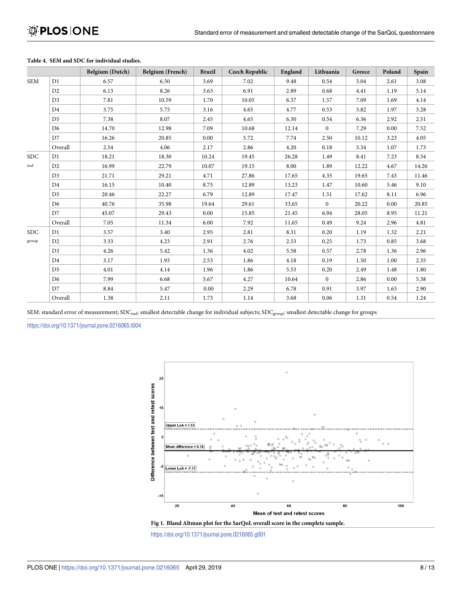<span id="page-7-0"></span>

|            |                | Belgium (Dutch) | Belgium (French) | <b>Brazil</b> | <b>Czech Republic</b> | England | Lithuania      | Greece | Poland | Spain |
|------------|----------------|-----------------|------------------|---------------|-----------------------|---------|----------------|--------|--------|-------|
| SEM        | D1             | 6.57            | 6.50             | 3.69          | 7.02                  | 9.48    | 0.54           | 3.04   | 2.61   | 3.08  |
|            | D <sub>2</sub> | 6.13            | 8.26             | 3.63          | 6.91                  | 2.89    | 0.68           | 4.41   | 1.19   | 5.14  |
|            | D <sub>3</sub> | 7.81            | 10.59            | 1.70          | 10.05                 | 6.37    | 1.57           | 7.09   | 1.69   | 4.14  |
|            | D4             | 3.75            | 5.75             | 3.16          | 4.65                  | 4.77    | 0.53           | 3.82   | 1.97   | 3.28  |
|            | D <sub>5</sub> | 7.38            | 8.07             | 2.45          | 4.65                  | 6.30    | 0.54           | 6.36   | 2.92   | 2.51  |
|            | D6             | 14.70           | 12.98            | 7.09          | 10.68                 | 12.14   | $\overline{0}$ | 7.29   | 0.00   | 7.52  |
|            | D7             | 16.26           | 20.85            | 0.00          | 5.72                  | 7.74    | 2.50           | 10.12  | 3.23   | 4.05  |
|            | Overall        | 2.54            | 4.06             | 2.17          | 2.86                  | 4.20    | 0.18           | 3.34   | 1.07   | 1.73  |
| <b>SDC</b> | D1             | 18.21           | 18.30            | 10.24         | 19.45                 | 26.28   | 1.49           | 8.41   | 7.23   | 8.54  |
| ind        | D <sub>2</sub> | 16.99           | 22.79            | 10.07         | 19.15                 | 8.00    | 1.89           | 12.22  | 4.67   | 14.26 |
|            | D <sub>3</sub> | 21.71           | 29.21            | 4.71          | 27.86                 | 17.65   | 4.35           | 19.65  | 7.43   | 11.46 |
|            | D4             | 16.15           | 10.40            | 8.75          | 12.89                 | 13.23   | 1.47           | 10.60  | 5.46   | 9.10  |
|            | D <sub>5</sub> | 20.46           | 22.27            | 6.79          | 12.89                 | 17.47   | 1.51           | 17.62  | 8.11   | 6.96  |
|            | D6             | 40.76           | 35.98            | 19.64         | 29.61                 | 33.65   | $\overline{0}$ | 20.22  | 0.00   | 20.85 |
|            | D7             | 45.07           | 29.43            | 0.00          | 15.85                 | 21.45   | 6.94           | 28.05  | 8.95   | 11.21 |
|            | Overall        | 7.05            | 11.34            | 6.00          | 7.92                  | 11.65   | 0.49           | 9.24   | 2.96   | 4.81  |
| <b>SDC</b> | D1             | 3.57            | 3.40             | 2.95          | 2.81                  | 8.31    | 0.20           | 1.19   | 1.32   | 2.21  |
| group      | D <sub>2</sub> | 3.33            | 4.23             | 2.91          | 2.76                  | 2.53    | 0.25           | 1.73   | 0.85   | 3.68  |
|            | D <sub>3</sub> | 4.26            | 5.42             | 1.36          | 4.02                  | 5.58    | 0.57           | 2.78   | 1.36   | 2.96  |
|            | D4             | 3.17            | 1.93             | 2.53          | 1.86                  | 4.18    | 0.19           | 1.50   | 1.00   | 2.35  |
|            | D <sub>5</sub> | 4.01            | 4.14             | 1.96          | 1.86                  | 5.53    | 0.20           | 2.49   | 1.48   | 1.80  |
|            | D6             | 7.99            | 6.68             | 5.67          | 4.27                  | 10.64   | $\overline{0}$ | 2.86   | 0.00   | 5.38  |
|            | D7             | 8.84            | 5.47             | 0.00          | 2.29                  | 6.78    | 0.91           | 3.97   | 1.63   | 2.90  |
|            | Overall        | 1.38            | 2.11             | 1.73          | 1.14                  | 3.68    | 0.06           | 1.31   | 0.54   | 1.24  |

SEM: standard error of measurement;  $SDC_{ind}$ : smallest detectable change for individual subjects;  $SDC_{group}$ : smallest detectable change for groups

<https://doi.org/10.1371/journal.pone.0216065.t004>



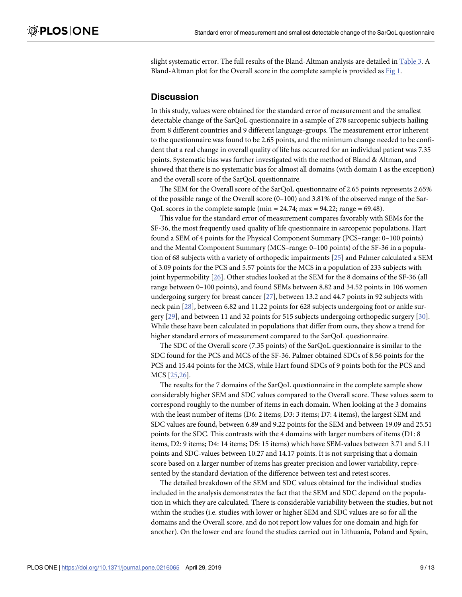<span id="page-8-0"></span>slight systematic error. The full results of the Bland-Altman analysis are detailed in [Table](#page-6-0) 3. A Bland-Altman plot for the Overall score in the complete sample is provided as [Fig](#page-7-0) 1.

## **Discussion**

In this study, values were obtained for the standard error of measurement and the smallest detectable change of the SarQoL questionnaire in a sample of 278 sarcopenic subjects hailing from 8 different countries and 9 different language-groups. The measurement error inherent to the questionnaire was found to be 2.65 points, and the minimum change needed to be confident that a real change in overall quality of life has occurred for an individual patient was 7.35 points. Systematic bias was further investigated with the method of Bland & Altman, and showed that there is no systematic bias for almost all domains (with domain 1 as the exception) and the overall score of the SarQoL questionnaire.

The SEM for the Overall score of the SarQoL questionnaire of 2.65 points represents 2.65% of the possible range of the Overall score (0–100) and 3.81% of the observed range of the Sar-OoL scores in the complete sample (min  $= 24.74$ ; max  $= 94.22$ ; range  $= 69.48$ ).

This value for the standard error of measurement compares favorably with SEMs for the SF-36, the most frequently used quality of life questionnaire in sarcopenic populations. Hart found a SEM of 4 points for the Physical Component Summary (PCS–range: 0–100 points) and the Mental Component Summary (MCS–range: 0–100 points) of the SF-36 in a population of 68 subjects with a variety of orthopedic impairments [[25](#page-12-0)] and Palmer calculated a SEM of 3.09 points for the PCS and 5.57 points for the MCS in a population of 233 subjects with joint hypermobility [\[26\]](#page-12-0). Other studies looked at the SEM for the 8 domains of the SF-36 (all range between 0–100 points), and found SEMs between 8.82 and 34.52 points in 106 women undergoing surgery for breast cancer [[27](#page-12-0)], between 13.2 and 44.7 points in 92 subjects with neck pain [\[28\]](#page-12-0), between 6.82 and 11.22 points for 628 subjects undergoing foot or ankle surgery [[29](#page-12-0)], and between 11 and 32 points for 515 subjects undergoing orthopedic surgery [[30](#page-12-0)]. While these have been calculated in populations that differ from ours, they show a trend for higher standard errors of measurement compared to the SarQoL questionnaire.

The SDC of the Overall score (7.35 points) of the SarQoL questionnaire is similar to the SDC found for the PCS and MCS of the SF-36. Palmer obtained SDCs of 8.56 points for the PCS and 15.44 points for the MCS, while Hart found SDCs of 9 points both for the PCS and MCS [[25](#page-12-0),[26](#page-12-0)].

The results for the 7 domains of the SarQoL questionnaire in the complete sample show considerably higher SEM and SDC values compared to the Overall score. These values seem to correspond roughly to the number of items in each domain. When looking at the 3 domains with the least number of items (D6: 2 items; D3: 3 items; D7: 4 items), the largest SEM and SDC values are found, between 6.89 and 9.22 points for the SEM and between 19.09 and 25.51 points for the SDC. This contrasts with the 4 domains with larger numbers of items (D1: 8 items, D2: 9 items; D4: 14 items; D5: 15 items) which have SEM-values between 3.71 and 5.11 points and SDC-values between 10.27 and 14.17 points. It is not surprising that a domain score based on a larger number of items has greater precision and lower variability, represented by the standard deviation of the difference between test and retest scores.

The detailed breakdown of the SEM and SDC values obtained for the individual studies included in the analysis demonstrates the fact that the SEM and SDC depend on the population in which they are calculated. There is considerable variability between the studies, but not within the studies (i.e. studies with lower or higher SEM and SDC values are so for all the domains and the Overall score, and do not report low values for one domain and high for another). On the lower end are found the studies carried out in Lithuania, Poland and Spain,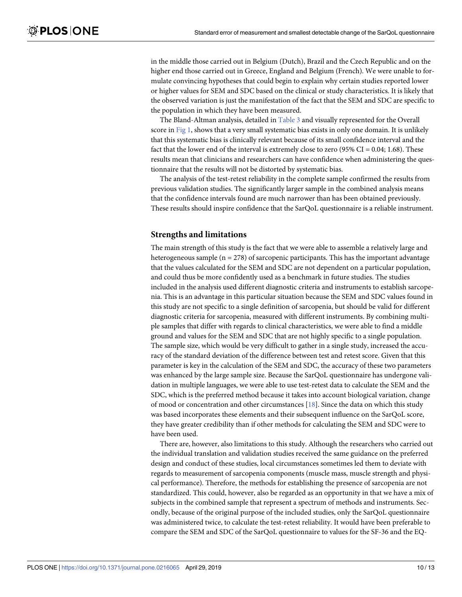in the middle those carried out in Belgium (Dutch), Brazil and the Czech Republic and on the higher end those carried out in Greece, England and Belgium (French). We were unable to formulate convincing hypotheses that could begin to explain why certain studies reported lower or higher values for SEM and SDC based on the clinical or study characteristics. It is likely that the observed variation is just the manifestation of the fact that the SEM and SDC are specific to the population in which they have been measured.

The Bland-Altman analysis, detailed in [Table](#page-6-0) 3 and visually represented for the Overall score in [Fig](#page-7-0) 1, shows that a very small systematic bias exists in only one domain. It is unlikely that this systematic bias is clinically relevant because of its small confidence interval and the fact that the lower end of the interval is extremely close to zero  $(95\% \text{ CI} = 0.04; 1.68)$ . These results mean that clinicians and researchers can have confidence when administering the questionnaire that the results will not be distorted by systematic bias.

The analysis of the test-retest reliability in the complete sample confirmed the results from previous validation studies. The significantly larger sample in the combined analysis means that the confidence intervals found are much narrower than has been obtained previously. These results should inspire confidence that the SarQoL questionnaire is a reliable instrument.

#### **Strengths and limitations**

The main strength of this study is the fact that we were able to assemble a relatively large and heterogeneous sample ( $n = 278$ ) of sarcopenic participants. This has the important advantage that the values calculated for the SEM and SDC are not dependent on a particular population, and could thus be more confidently used as a benchmark in future studies. The studies included in the analysis used different diagnostic criteria and instruments to establish sarcopenia. This is an advantage in this particular situation because the SEM and SDC values found in this study are not specific to a single definition of sarcopenia, but should be valid for different diagnostic criteria for sarcopenia, measured with different instruments. By combining multiple samples that differ with regards to clinical characteristics, we were able to find a middle ground and values for the SEM and SDC that are not highly specific to a single population. The sample size, which would be very difficult to gather in a single study, increased the accuracy of the standard deviation of the difference between test and retest score. Given that this parameter is key in the calculation of the SEM and SDC, the accuracy of these two parameters was enhanced by the large sample size. Because the SarQoL questionnaire has undergone validation in multiple languages, we were able to use test-retest data to calculate the SEM and the SDC, which is the preferred method because it takes into account biological variation, change of mood or concentration and other circumstances [\[18\]](#page-11-0). Since the data on which this study was based incorporates these elements and their subsequent influence on the SarQoL score, they have greater credibility than if other methods for calculating the SEM and SDC were to have been used.

There are, however, also limitations to this study. Although the researchers who carried out the individual translation and validation studies received the same guidance on the preferred design and conduct of these studies, local circumstances sometimes led them to deviate with regards to measurement of sarcopenia components (muscle mass, muscle strength and physical performance). Therefore, the methods for establishing the presence of sarcopenia are not standardized. This could, however, also be regarded as an opportunity in that we have a mix of subjects in the combined sample that represent a spectrum of methods and instruments. Secondly, because of the original purpose of the included studies, only the SarQoL questionnaire was administered twice, to calculate the test-retest reliability. It would have been preferable to compare the SEM and SDC of the SarQoL questionnaire to values for the SF-36 and the EQ-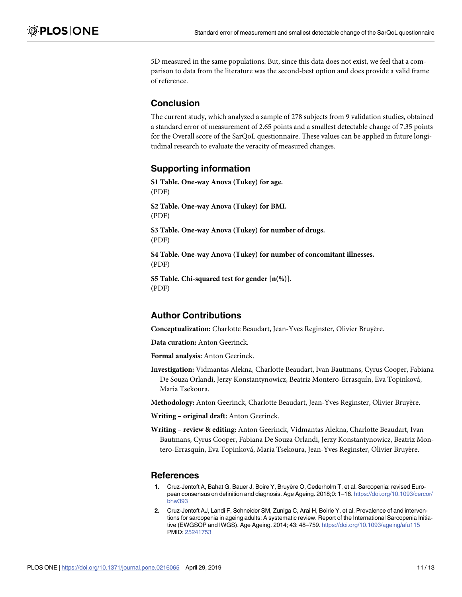<span id="page-10-0"></span>5D measured in the same populations. But, since this data does not exist, we feel that a comparison to data from the literature was the second-best option and does provide a valid frame of reference.

## **Conclusion**

The current study, which analyzed a sample of 278 subjects from 9 validation studies, obtained a standard error of measurement of 2.65 points and a smallest detectable change of 7.35 points for the Overall score of the SarQoL questionnaire. These values can be applied in future longitudinal research to evaluate the veracity of measured changes.

## **Supporting information**

**S1 [Table.](http://www.plosone.org/article/fetchSingleRepresentation.action?uri=info:doi/10.1371/journal.pone.0216065.s001) One-way Anova (Tukey) for age.** (PDF) **S2 [Table.](http://www.plosone.org/article/fetchSingleRepresentation.action?uri=info:doi/10.1371/journal.pone.0216065.s002) One-way Anova (Tukey) for BMI.** (PDF) **S3 [Table.](http://www.plosone.org/article/fetchSingleRepresentation.action?uri=info:doi/10.1371/journal.pone.0216065.s003) One-way Anova (Tukey) for number of drugs.** (PDF)

**S4 [Table.](http://www.plosone.org/article/fetchSingleRepresentation.action?uri=info:doi/10.1371/journal.pone.0216065.s004) One-way Anova (Tukey) for number of concomitant illnesses.** (PDF)

**S5 [Table.](http://www.plosone.org/article/fetchSingleRepresentation.action?uri=info:doi/10.1371/journal.pone.0216065.s005) Chi-squared test for gender [n(%)].** (PDF)

## **Author Contributions**

**Conceptualization:** Charlotte Beaudart, Jean-Yves Reginster, Olivier Bruyère.

**Data curation:** Anton Geerinck.

**Formal analysis:** Anton Geerinck.

**Investigation:** Vidmantas Alekna, Charlotte Beaudart, Ivan Bautmans, Cyrus Cooper, Fabiana De Souza Orlandi, Jerzy Konstantynowicz, Beatriz Montero-Errasquín, Eva Topinková, Maria Tsekoura.

**Methodology:** Anton Geerinck, Charlotte Beaudart, Jean-Yves Reginster, Olivier Bruyère.

**Writing – original draft:** Anton Geerinck.

**Writing – review & editing:** Anton Geerinck, Vidmantas Alekna, Charlotte Beaudart, Ivan Bautmans, Cyrus Cooper, Fabiana De Souza Orlandi, Jerzy Konstantynowicz, Beatriz Montero-Errasquín, Eva Topinková, Maria Tsekoura, Jean-Yves Reginster, Olivier Bruyère.

#### **References**

- **[1](#page-1-0).** Cruz-Jentoft A, Bahat G, Bauer J, Boire Y, Bruyère O, Cederholm T, et al. Sarcopenia: revised European consensus on definition and diagnosis. Age Ageing. 2018;0: 1–16. [https://doi.org/10.1093/cercor/](https://doi.org/10.1093/cercor/bhw393) [bhw393](https://doi.org/10.1093/cercor/bhw393)
- **[2](#page-1-0).** Cruz-Jentoft AJ, Landi F, Schneider SM, Zuniga C, Arai H, Boirie Y, et al. Prevalence of and interventions for sarcopenia in ageing adults: A systematic review. Report of the International Sarcopenia Initiative (EWGSOP and IWGS). Age Ageing. 2014; 43: 48–759. <https://doi.org/10.1093/ageing/afu115> PMID: [25241753](http://www.ncbi.nlm.nih.gov/pubmed/25241753)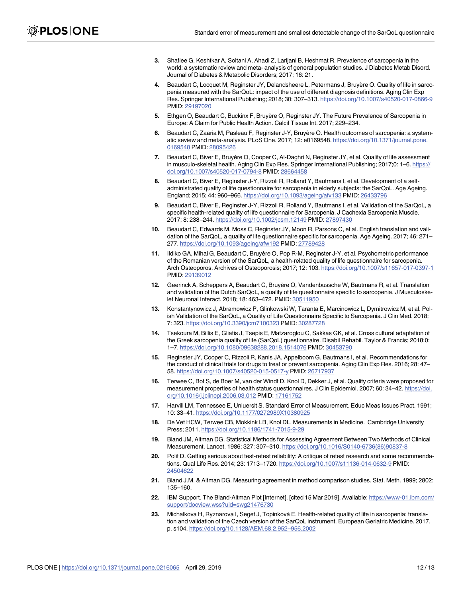- <span id="page-11-0"></span>**[3](#page-1-0).** Shafiee G, Keshtkar A, Soltani A, Ahadi Z, Larijani B, Heshmat R. Prevalence of sarcopenia in the world: a systematic review and meta- analysis of general population studies. J Diabetes Metab Disord. Journal of Diabetes & Metabolic Disorders; 2017; 16: 21.
- **[4](#page-1-0).** Beaudart C, Locquet M, Reginster JY, Delandsheere L, Petermans J, Bruyère O. Quality of life in sarcopenia measured with the SarQoL: impact of the use of different diagnosis definitions. Aging Clin Exp Res. Springer International Publishing; 2018; 30: 307–313. <https://doi.org/10.1007/s40520-017-0866-9> PMID: [29197020](http://www.ncbi.nlm.nih.gov/pubmed/29197020)
- **[5](#page-1-0).** Ethgen O, Beaudart C, Buckinx F, Bruyère O, Reginster JY. The Future Prevalence of Sarcopenia in Europe: A Claim for Public Health Action. Calcif Tissue Int. 2017; 229–234.
- **[6](#page-1-0).** Beaudart C, Zaaria M, Pasleau F, Reginster J-Y, Bruyère O. Health outcomes of sarcopenia: a systematic seview and meta-analysis. PLoS One. 2017; 12: e0169548. [https://doi.org/10.1371/journal.pone.](https://doi.org/10.1371/journal.pone.0169548) [0169548](https://doi.org/10.1371/journal.pone.0169548) PMID: [28095426](http://www.ncbi.nlm.nih.gov/pubmed/28095426)
- **[7](#page-1-0).** Beaudart C, Biver E, Bruyère O, Cooper C, Al-Daghri N, Reginster JY, et al. Quality of life assessment in musculo-skeletal health. Aging Clin Exp Res. Springer International Publishing; 2017;0: 1–6. [https://](https://doi.org/10.1007/s40520-017-0794-8) [doi.org/10.1007/s40520-017-0794-8](https://doi.org/10.1007/s40520-017-0794-8) PMID: [28664458](http://www.ncbi.nlm.nih.gov/pubmed/28664458)
- **[8](#page-2-0).** Beaudart C, Biver E, Reginster J-Y, Rizzoli R, Rolland Y, Bautmans I, et al. Development of a selfadministrated quality of life questionnaire for sarcopenia in elderly subjects: the SarQoL. Age Ageing. England; 2015; 44: 960–966. <https://doi.org/10.1093/ageing/afv133> PMID: [26433796](http://www.ncbi.nlm.nih.gov/pubmed/26433796)
- **[9](#page-2-0).** Beaudart C, Biver E, Reginster J-Y, Rizzoli R, Rolland Y, Bautmans I, et al. Validation of the SarQoL, a specific health-related quality of life questionnaire for Sarcopenia. J Cachexia Sarcopenia Muscle. 2017; 8: 238–244. <https://doi.org/10.1002/jcsm.12149> PMID: [27897430](http://www.ncbi.nlm.nih.gov/pubmed/27897430)
- **[10](#page-5-0).** Beaudart C, Edwards M, Moss C, Reginster JY, Moon R, Parsons C, et al. English translation and validation of the SarQoL, a quality of life questionnaire specific for sarcopenia. Age Ageing. 2017; 46: 271– 277. <https://doi.org/10.1093/ageing/afw192> PMID: [27789428](http://www.ncbi.nlm.nih.gov/pubmed/27789428)
- **11.** Ildiko GA, Mihai G, Beaudart C, Bruyère O, Pop R-M, Reginster J-Y, et al. Psychometric performance of the Romanian version of the SarQoL, a health-related quality of life questionnaire for sarcopenia. Arch Osteoporos. Archives of Osteoporosis; 2017; 12: 103. <https://doi.org/10.1007/s11657-017-0397-1> PMID: [29139012](http://www.ncbi.nlm.nih.gov/pubmed/29139012)
- **[12](#page-5-0).** Geerinck A, Scheppers A, Beaudart C, Bruyère O, Vandenbussche W, Bautmans R, et al. Translation and validation of the Dutch SarQoL, a quality of life questionnaire specific to sarcopenia. J Musculoskelet Neuronal Interact. 2018; 18: 463–472. PMID: [30511950](http://www.ncbi.nlm.nih.gov/pubmed/30511950)
- **[13](#page-5-0).** Konstantynowicz J, Abramowicz P, Glinkowski W, Taranta E, Marcinowicz L, Dymitrowicz M, et al. Polish Validation of the SarQoL, a Quality of Life Questionnaire Specific to Sarcopenia. J Clin Med. 2018; 7: 323. <https://doi.org/10.3390/jcm7100323> PMID: [30287728](http://www.ncbi.nlm.nih.gov/pubmed/30287728)
- **[14](#page-2-0).** Tsekoura M, Billis E, Gliatis J, Tsepis E, Matzaroglou C, Sakkas GK, et al. Cross cultural adaptation of the Greek sarcopenia quality of life (SarQoL) questionnaire. Disabil Rehabil. Taylor & Francis; 2018;0: 1–7. <https://doi.org/10.1080/09638288.2018.1514076> PMID: [30453790](http://www.ncbi.nlm.nih.gov/pubmed/30453790)
- **[15](#page-2-0).** Reginster JY, Cooper C, Rizzoli R, Kanis JA, Appelboom G, Bautmans I, et al. Recommendations for the conduct of clinical trials for drugs to treat or prevent sarcopenia. Aging Clin Exp Res. 2016; 28: 47– 58. <https://doi.org/10.1007/s40520-015-0517-y> PMID: [26717937](http://www.ncbi.nlm.nih.gov/pubmed/26717937)
- **[16](#page-3-0).** Terwee C, Bot S, de Boer M, van der Windt D, Knol D, Dekker J, et al. Quality criteria were proposed for measurement properties of health status questionnaires. J Clin Epidemiol. 2007; 60: 34–42. [https://doi.](https://doi.org/10.1016/j.jclinepi.2006.03.012) [org/10.1016/j.jclinepi.2006.03.012](https://doi.org/10.1016/j.jclinepi.2006.03.012) PMID: [17161752](http://www.ncbi.nlm.nih.gov/pubmed/17161752)
- **[17](#page-3-0).** Harvill LM, Tennessee E, Uniuersit S. Standard Error of Measurement. Educ Meas Issues Pract. 1991; 10: 33–41. <https://doi.org/10.1177/0272989X10380925>
- **[18](#page-3-0).** De Vet HCW, Terwee CB, Mokkink LB, Knol DL. Measurements in Medicine. Cambridge University Press; 2011. <https://doi.org/10.1186/1741-7015-9-29>
- **[19](#page-4-0).** Bland JM, Altman DG. Statistical Methods for Assessing Agreement Between Two Methods of Clinical Measurement. Lancet. 1986; 327: 307–310. [https://doi.org/10.1016/S0140-6736\(86\)90837-8](https://doi.org/10.1016/S0140-6736(86)90837-8)
- **[20](#page-4-0).** Polit D. Getting serious about test-retest reliability: A critique of retest research and some recommendations. Qual Life Res. 2014; 23: 1713–1720. <https://doi.org/10.1007/s11136-014-0632-9> PMID: [24504622](http://www.ncbi.nlm.nih.gov/pubmed/24504622)
- **[21](#page-4-0).** Bland J.M. & Altman DG. Measuring agreement in method comparison studies. Stat. Meth. 1999; 2802: 135–160.
- **[22](#page-4-0).** IBM Support. The Bland-Altman Plot [Internet]. [cited 15 Mar 2019]. Available: [https://www-01.ibm.com/](https://www-01.ibm.com/support/docview.wss?uid=swg21476730) [support/docview.wss?uid=swg21476730](https://www-01.ibm.com/support/docview.wss?uid=swg21476730)
- **[23](#page-5-0).** Michalkova H, Ryznarova I, Seget J, Topinková E. Health-related quality of life in sarcopenia: translation and validation of the Czech version of the SarQoL instrument. European Geriatric Medicine. 2017. p. s104. [https://doi.org/10.1128/AEM.68.2.952–956.2002](https://doi.org/10.1128/AEM.68.2.952956.2002)